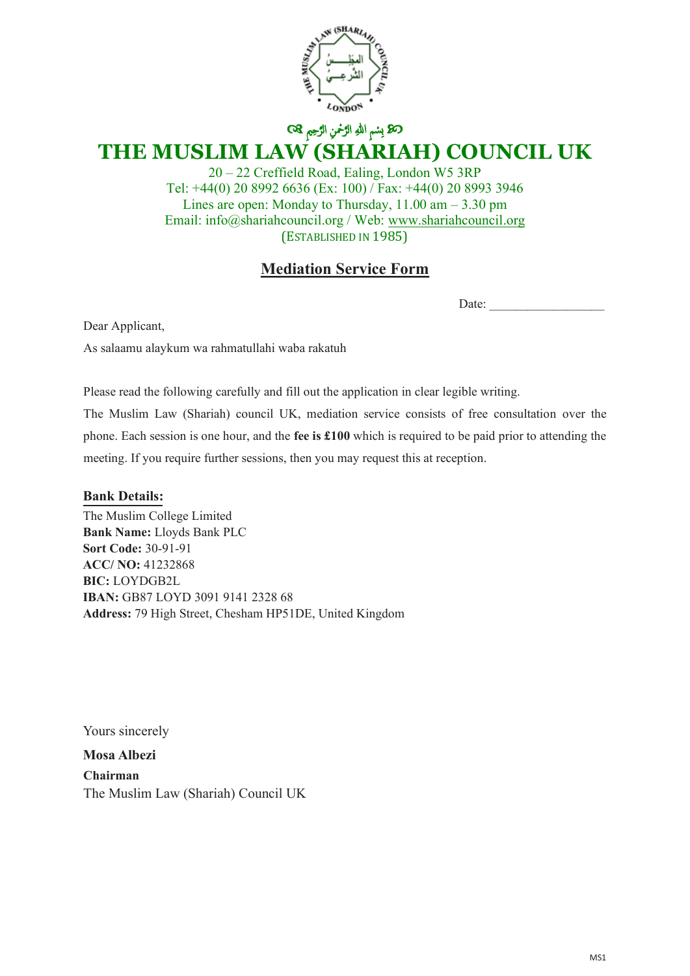

## ن الرَّحْمَنِ الرَّحْمَنِ الرَّحِيمِ & **THE MUSLIM LAW (SHARIAH) COUNCIL UK**

20 – 22 Creffield Road, Ealing, London W5 3RP Tel: +44(0) 20 8992 6636 (Ex: 100) / Fax: +44(0) 20 8993 3946 Lines are open: Monday to Thursday, 11.00 am – 3.30 pm Email: info@shariahcouncil.org / Web: www.shariahcouncil.org (ESTABLISHED IN 1985)

## **Mediation Service Form**

Date:  $\overline{\phantom{a}}$ 

Dear Applicant,

As salaamu alaykum wa rahmatullahi waba rakatuh

Please read the following carefully and fill out the application in clear legible writing.

The Muslim Law (Shariah) council UK, mediation service consists of free consultation over the phone. Each session is one hour, and the **fee is £100** which is required to be paid prior to attending the meeting. If you require further sessions, then you may request this at reception.

**Bank Details: Bank Details:**

**Bank name:** Llyods **Bank Name:** Lloyds Bank PLC **Sort Code:** 30-91-91 **ACC/ NO:** 41232868 **IBAN:** GB87 LOYD 3091 9141 2328 68 The Muslim College Limited **BIC:** LOYDGB2L **Address:** 79 High Street, Chesham HP51DE, United Kingdom

Yours sincerely

**M. Benotman Mosa AlbeziChairman** The Muslim Law (Shariah) Council UK